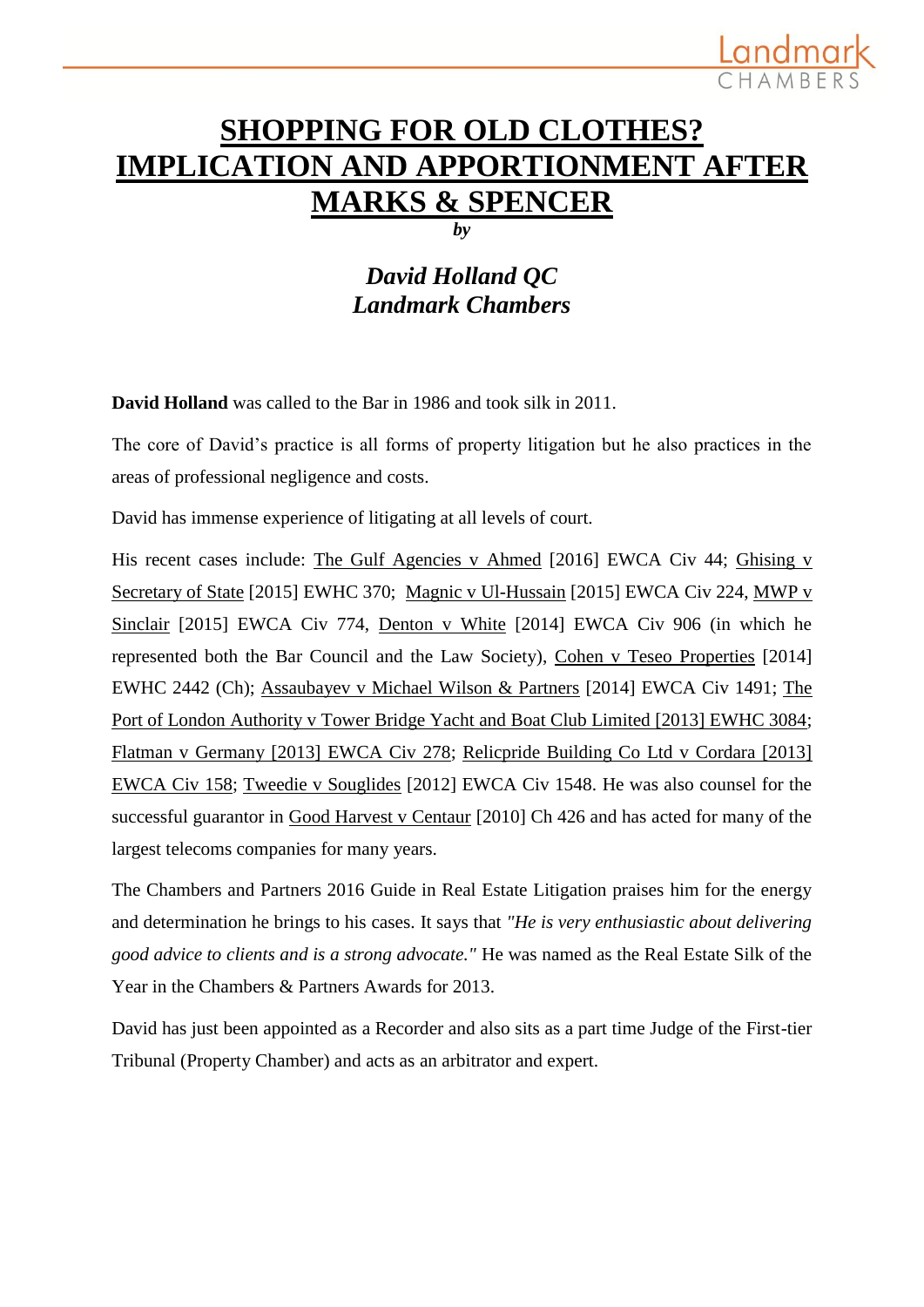## **SHOPPING FOR OLD CLOTHES? IMPLICATION AND APPORTIONMENT AFTER MARKS & SPENCER**

Landma

*by*

### *David Holland QC Landmark Chambers*

**David Holland** was called to the Bar in 1986 and took silk in 2011.

The core of David's practice is all forms of property litigation but he also practices in the areas of professional negligence and costs.

David has immense experience of litigating at all levels of court.

His recent cases include: The Gulf Agencies v Ahmed [2016] EWCA Civ 44; Ghising v Secretary of State [2015] EWHC 370; Magnic v Ul-Hussain [2015] EWCA Civ 224, MWP v Sinclair [2015] EWCA Civ 774, Denton v White [2014] EWCA Civ 906 (in which he represented both the Bar Council and the Law Society), Cohen v Teseo Properties [2014] EWHC 2442 (Ch); Assaubayev v Michael Wilson & Partners [2014] EWCA Civ 1491; [The](http://www.landmarkchambers.co.uk/expertise/case/the_port_of_london_authority_v_tower_bridge_yacht_and_boat_club_limited_201)  Port [of London Authority v Tower Bridge Yacht and Boat Club Limited \[2013\] EWHC 3084;](http://www.landmarkchambers.co.uk/expertise/case/the_port_of_london_authority_v_tower_bridge_yacht_and_boat_club_limited_201) [Flatman v Germany \[2013\] EWCA Civ 278;](http://www.landmarkchambers.co.uk/expertise/case/flatman_v_germany_2013_ewca_civ_278) [Relicpride Building Co Ltd v Cordara \[2013\]](http://www.landmarkchambers.co.uk/expertise/case/relicpride_building_co_ltd_v_cordara_2013_ewca_civ_158)  [EWCA Civ 158;](http://www.landmarkchambers.co.uk/expertise/case/relicpride_building_co_ltd_v_cordara_2013_ewca_civ_158) Tweedie v Souglides [2012] EWCA Civ 1548. He was also counsel for the successful guarantor in Good Harvest v Centaur [2010] Ch 426 and has acted for many of the largest telecoms companies for many years.

The Chambers and Partners 2016 Guide in Real Estate Litigation praises him for the energy and determination he brings to his cases. It says that *"He is very enthusiastic about delivering good advice to clients and is a strong advocate."* He was named as the Real Estate Silk of the Year in the Chambers & Partners Awards for 2013.

David has just been appointed as a Recorder and also sits as a part time Judge of the First-tier Tribunal (Property Chamber) and acts as an arbitrator and expert.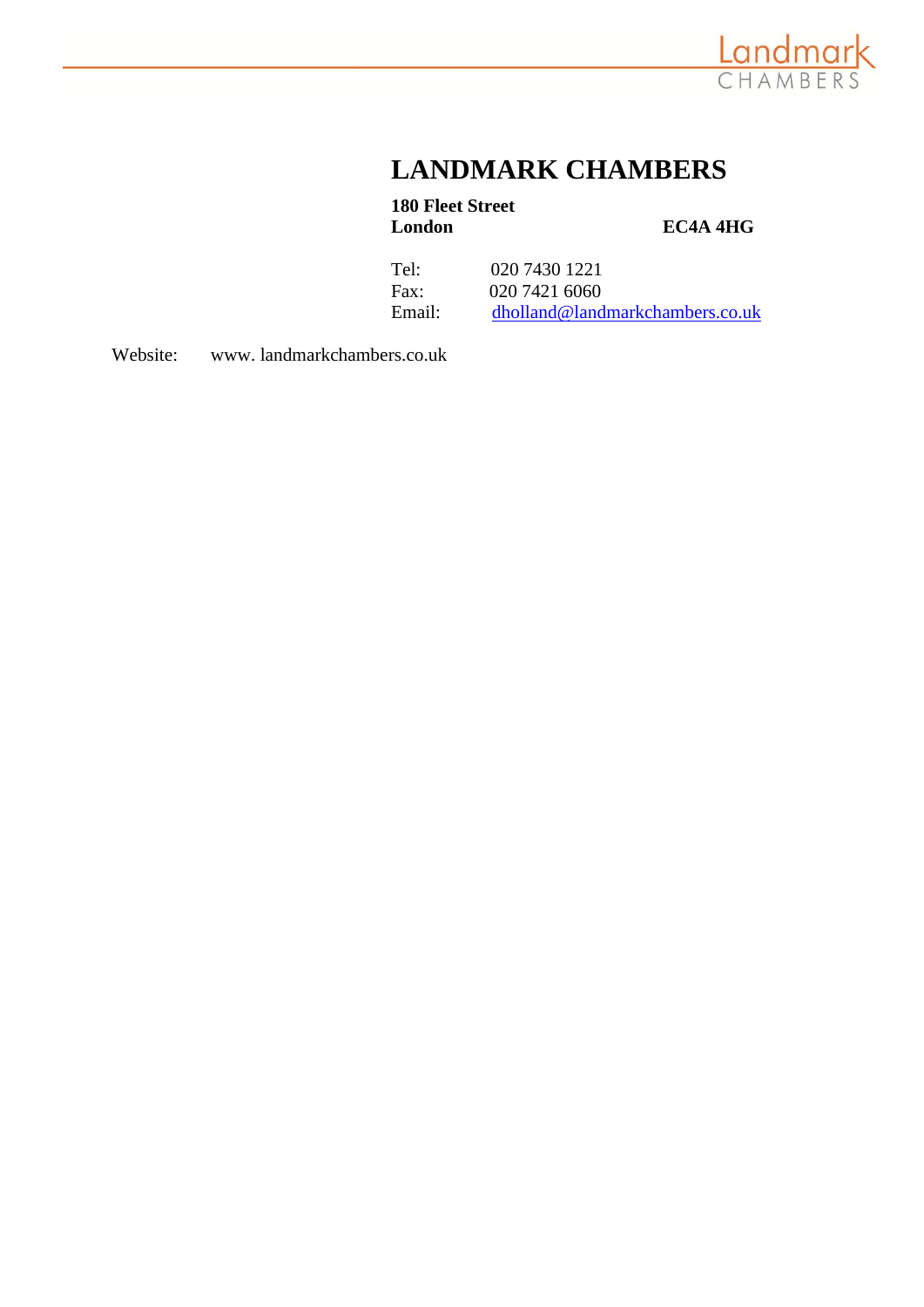

## **LANDMARK CHAMBERS**

# **180 Fleet Street**

**LC4A 4HG** 

Tel: 020 7430 1221 Fax: 020 7421 6060 Email: [dholland@landmarkchambers.co.uk](mailto:dholland@landmarkchambers.co.uk)

Website: www. landmarkchambers.co.uk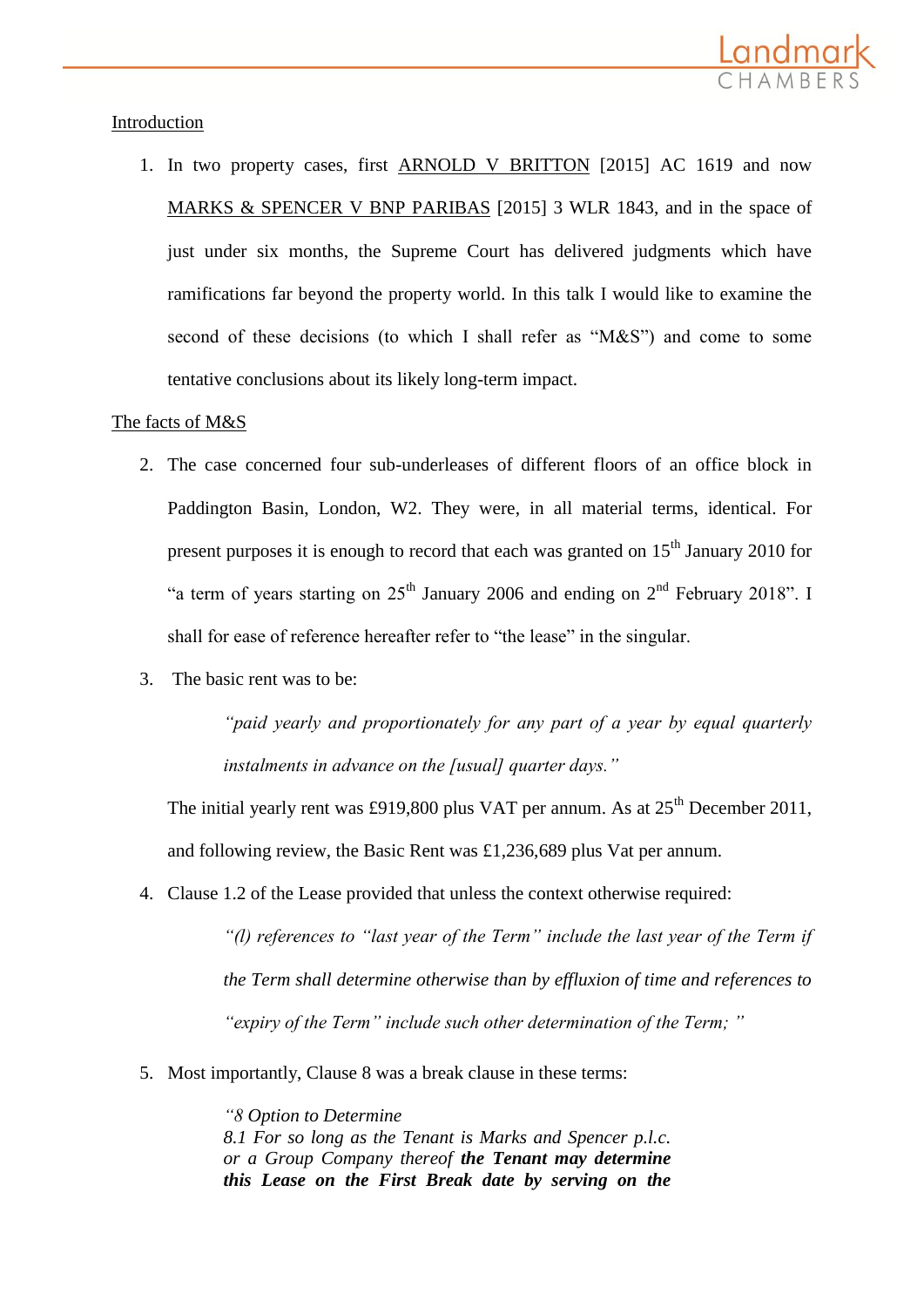

#### Introduction

1. In two property cases, first ARNOLD V BRITTON [2015] AC 1619 and now MARKS & SPENCER V BNP PARIBAS [2015] 3 WLR 1843, and in the space of just under six months, the Supreme Court has delivered judgments which have ramifications far beyond the property world. In this talk I would like to examine the second of these decisions (to which I shall refer as "M&S") and come to some tentative conclusions about its likely long-term impact.

#### The facts of M&S

- 2. The case concerned four sub-underleases of different floors of an office block in Paddington Basin, London, W2. They were, in all material terms, identical. For present purposes it is enough to record that each was granted on  $15<sup>th</sup>$  January 2010 for "a term of years starting on  $25<sup>th</sup>$  January 2006 and ending on  $2<sup>nd</sup>$  February 2018". I shall for ease of reference hereafter refer to "the lease" in the singular.
- 3. The basic rent was to be:

*"paid yearly and proportionately for any part of a year by equal quarterly instalments in advance on the [usual] quarter days."*

The initial yearly rent was £919,800 plus VAT per annum. As at  $25<sup>th</sup>$  December 2011, and following review, the Basic Rent was £1,236,689 plus Vat per annum.

4. Clause 1.2 of the Lease provided that unless the context otherwise required:

*"(l) references to "last year of the Term" include the last year of the Term if the Term shall determine otherwise than by effluxion of time and references to "expiry of the Term" include such other determination of the Term; "*

5. Most importantly, Clause 8 was a break clause in these terms:

*"8 Option to Determine 8.1 For so long as the Tenant is Marks and Spencer p.l.c. or a Group Company thereof the Tenant may determine this Lease on the First Break date by serving on the*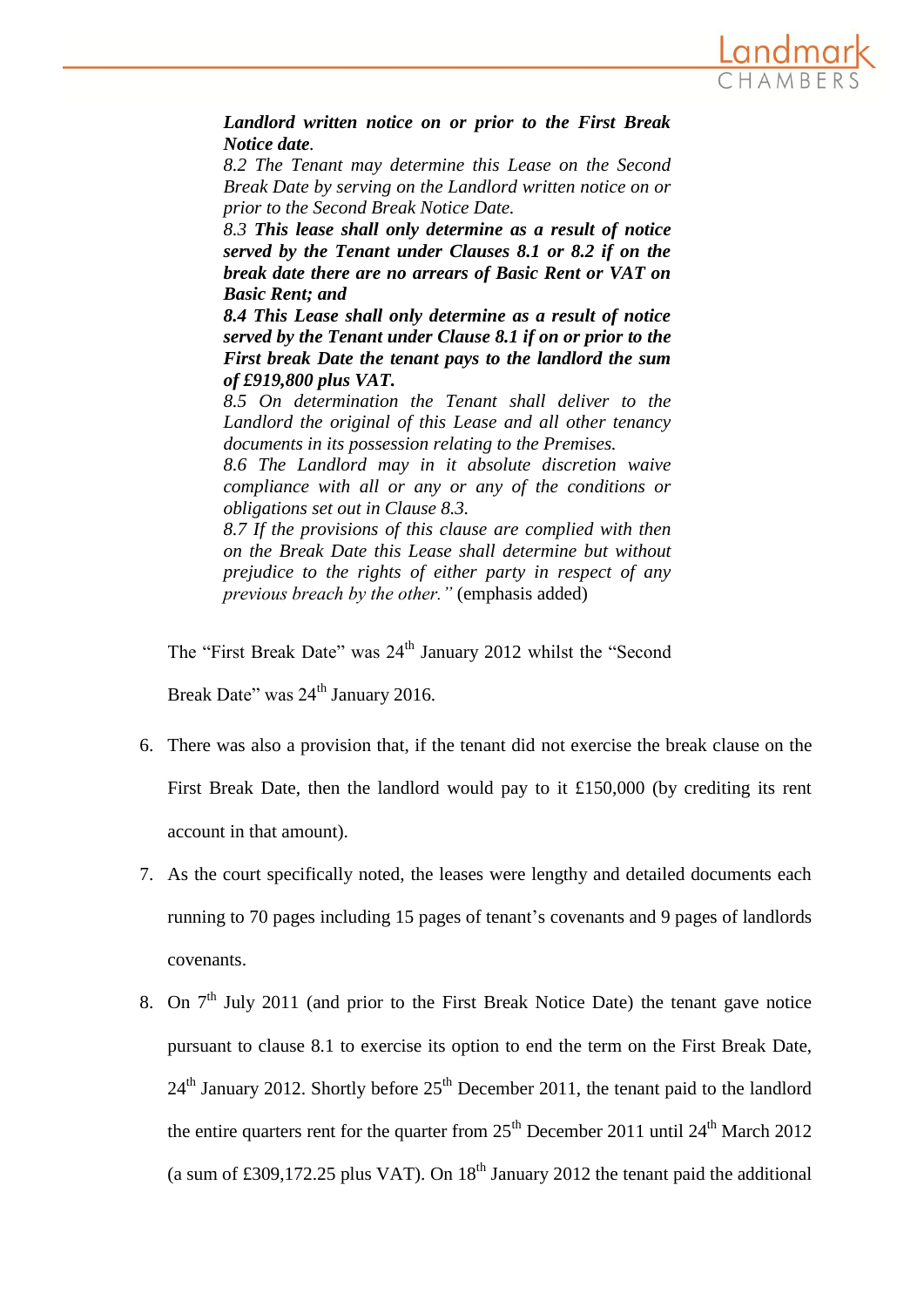

*Landlord written notice on or prior to the First Break Notice date.*

*8.2 The Tenant may determine this Lease on the Second Break Date by serving on the Landlord written notice on or prior to the Second Break Notice Date.*

*8.3 This lease shall only determine as a result of notice served by the Tenant under Clauses 8.1 or 8.2 if on the break date there are no arrears of Basic Rent or VAT on Basic Rent; and*

*8.4 This Lease shall only determine as a result of notice served by the Tenant under Clause 8.1 if on or prior to the First break Date the tenant pays to the landlord the sum of £919,800 plus VAT.*

*8.5 On determination the Tenant shall deliver to the Landlord the original of this Lease and all other tenancy documents in its possession relating to the Premises.*

*8.6 The Landlord may in it absolute discretion waive compliance with all or any or any of the conditions or obligations set out in Clause 8.3.*

*8.7 If the provisions of this clause are complied with then on the Break Date this Lease shall determine but without prejudice to the rights of either party in respect of any previous breach by the other."* (emphasis added)

The "First Break Date" was 24<sup>th</sup> January 2012 whilst the "Second

Break Date" was 24<sup>th</sup> January 2016.

- 6. There was also a provision that, if the tenant did not exercise the break clause on the First Break Date, then the landlord would pay to it £150,000 (by crediting its rent account in that amount).
- 7. As the court specifically noted, the leases were lengthy and detailed documents each running to 70 pages including 15 pages of tenant's covenants and 9 pages of landlords covenants.
- 8. On  $7<sup>th</sup>$  July 2011 (and prior to the First Break Notice Date) the tenant gave notice pursuant to clause 8.1 to exercise its option to end the term on the First Break Date,  $24<sup>th</sup>$  January 2012. Shortly before  $25<sup>th</sup>$  December 2011, the tenant paid to the landlord the entire quarters rent for the quarter from  $25<sup>th</sup>$  December 2011 until  $24<sup>th</sup>$  March 2012 (a sum of £309,172.25 plus VAT). On  $18<sup>th</sup>$  January 2012 the tenant paid the additional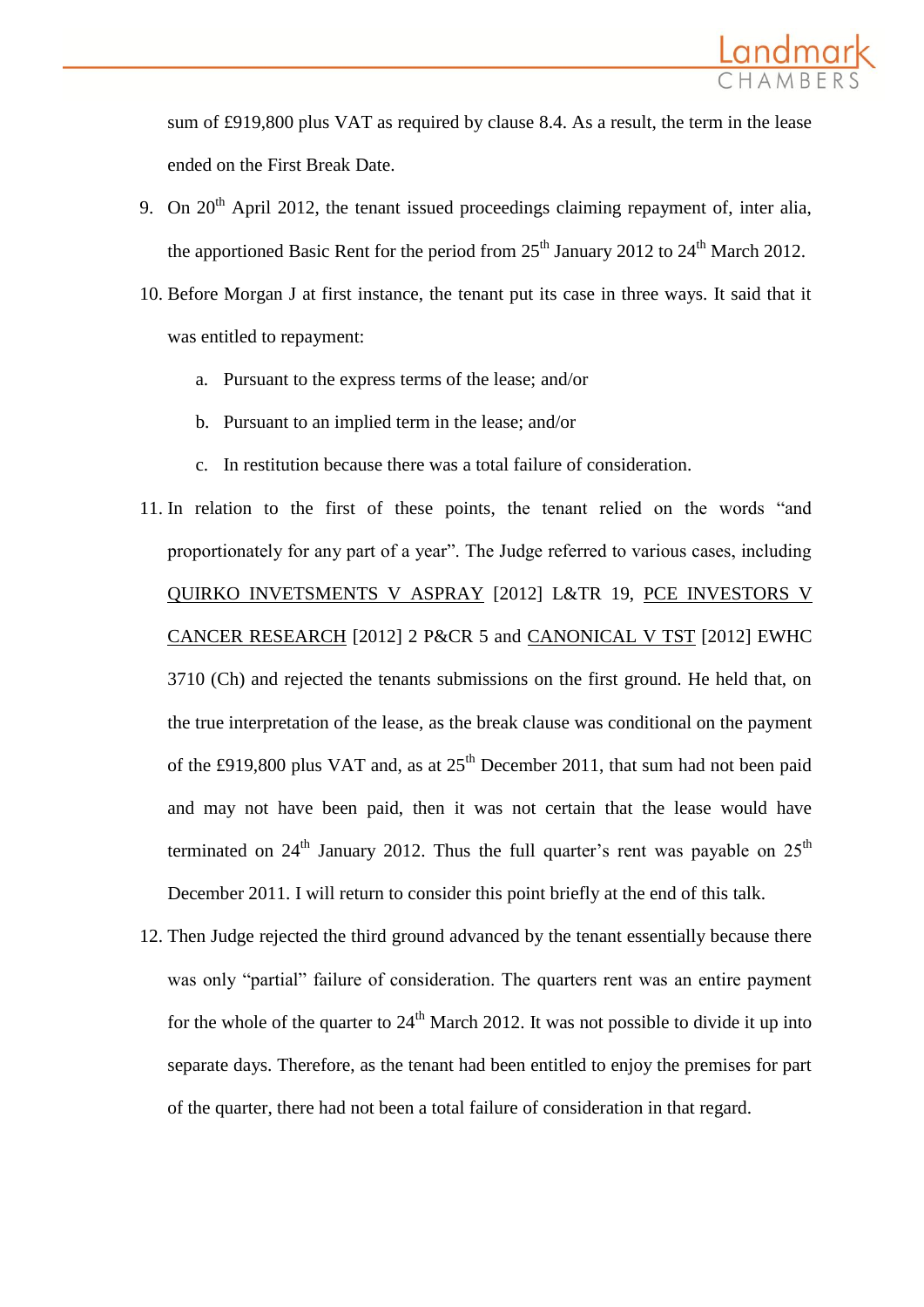

sum of £919,800 plus VAT as required by clause 8.4. As a result, the term in the lease ended on the First Break Date.

- 9. On  $20<sup>th</sup>$  April 2012, the tenant issued proceedings claiming repayment of, inter alia, the apportioned Basic Rent for the period from  $25<sup>th</sup>$  January 2012 to  $24<sup>th</sup>$  March 2012.
- 10. Before Morgan J at first instance, the tenant put its case in three ways. It said that it was entitled to repayment:
	- a. Pursuant to the express terms of the lease; and/or
	- b. Pursuant to an implied term in the lease; and/or
	- c. In restitution because there was a total failure of consideration.
- 11. In relation to the first of these points, the tenant relied on the words "and proportionately for any part of a year". The Judge referred to various cases, including QUIRKO INVETSMENTS V ASPRAY [2012] L&TR 19, PCE INVESTORS V CANCER RESEARCH [2012] 2 P&CR 5 and CANONICAL V TST [2012] EWHC 3710 (Ch) and rejected the tenants submissions on the first ground. He held that, on the true interpretation of the lease, as the break clause was conditional on the payment of the £919,800 plus VAT and, as at  $25<sup>th</sup>$  December 2011, that sum had not been paid and may not have been paid, then it was not certain that the lease would have terminated on  $24<sup>th</sup>$  January 2012. Thus the full quarter's rent was payable on  $25<sup>th</sup>$ December 2011. I will return to consider this point briefly at the end of this talk.
- 12. Then Judge rejected the third ground advanced by the tenant essentially because there was only "partial" failure of consideration. The quarters rent was an entire payment for the whole of the quarter to  $24<sup>th</sup>$  March 2012. It was not possible to divide it up into separate days. Therefore, as the tenant had been entitled to enjoy the premises for part of the quarter, there had not been a total failure of consideration in that regard.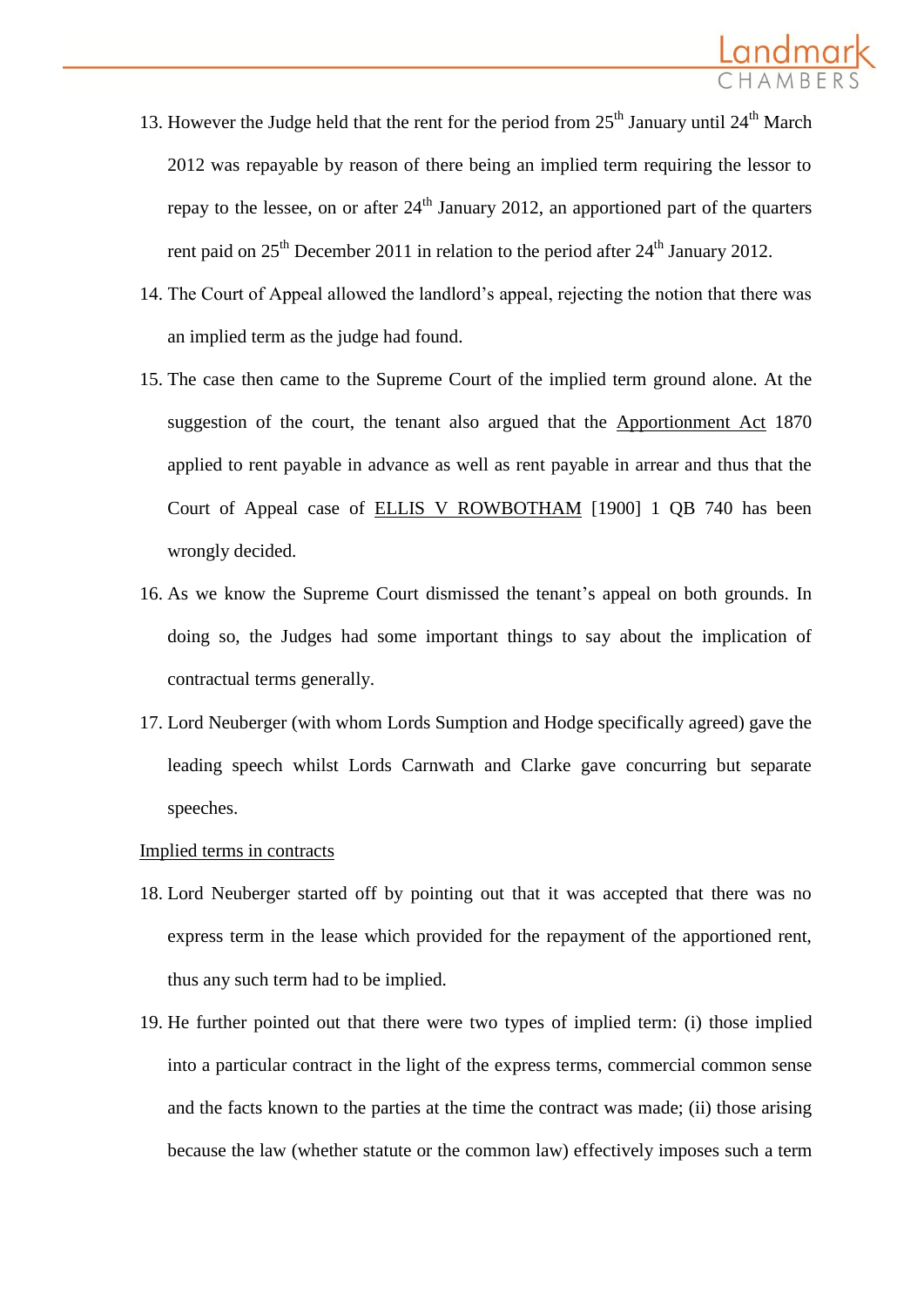

- 13. However the Judge held that the rent for the period from  $25<sup>th</sup>$  January until  $24<sup>th</sup>$  March 2012 was repayable by reason of there being an implied term requiring the lessor to repay to the lessee, on or after  $24<sup>th</sup>$  January 2012, an apportioned part of the quarters rent paid on  $25<sup>th</sup>$  December 2011 in relation to the period after  $24<sup>th</sup>$  January 2012.
- 14. The Court of Appeal allowed the landlord's appeal, rejecting the notion that there was an implied term as the judge had found.
- 15. The case then came to the Supreme Court of the implied term ground alone. At the suggestion of the court, the tenant also argued that the Apportionment Act 1870 applied to rent payable in advance as well as rent payable in arrear and thus that the Court of Appeal case of ELLIS V ROWBOTHAM [1900] 1 QB 740 has been wrongly decided.
- 16. As we know the Supreme Court dismissed the tenant's appeal on both grounds. In doing so, the Judges had some important things to say about the implication of contractual terms generally.
- 17. Lord Neuberger (with whom Lords Sumption and Hodge specifically agreed) gave the leading speech whilst Lords Carnwath and Clarke gave concurring but separate speeches.

#### Implied terms in contracts

- 18. Lord Neuberger started off by pointing out that it was accepted that there was no express term in the lease which provided for the repayment of the apportioned rent, thus any such term had to be implied.
- 19. He further pointed out that there were two types of implied term: (i) those implied into a particular contract in the light of the express terms, commercial common sense and the facts known to the parties at the time the contract was made; (ii) those arising because the law (whether statute or the common law) effectively imposes such a term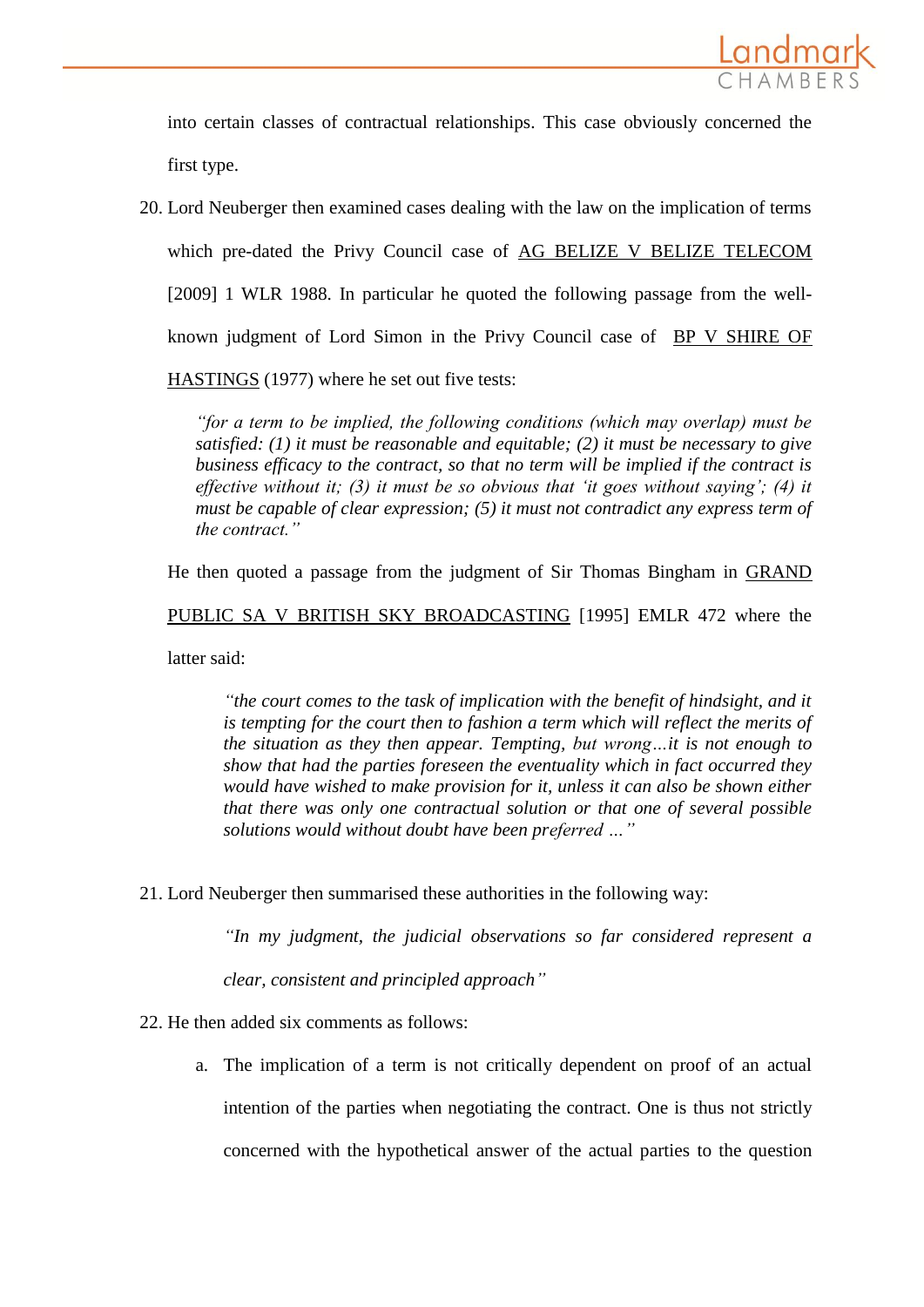

into certain classes of contractual relationships. This case obviously concerned the first type.

20. Lord Neuberger then examined cases dealing with the law on the implication of terms which pre-dated the Privy Council case of AG BELIZE V BELIZE TELECOM [2009] 1 WLR 1988. In particular he quoted the following passage from the wellknown judgment of Lord Simon in the Privy Council case of BP V SHIRE OF

HASTINGS (1977) where he set out five tests:

*"for a term to be implied, the following conditions (which may overlap) must be satisfied: (1) it must be reasonable and equitable; (2) it must be necessary to give business efficacy to the contract, so that no term will be implied if the contract is effective without it; (3) it must be so obvious that 'it goes without saying'; (4) it must be capable of clear expression; (5) it must not contradict any express term of the contract."*

He then quoted a passage from the judgment of Sir Thomas Bingham in GRAND

PUBLIC SA V BRITISH SKY BROADCASTING [1995] EMLR 472 where the

latter said:

*"the court comes to the task of implication with the benefit of hindsight, and it is tempting for the court then to fashion a term which will reflect the merits of the situation as they then appear. Tempting, but wrong…it is not enough to show that had the parties foreseen the eventuality which in fact occurred they would have wished to make provision for it, unless it can also be shown either that there was only one contractual solution or that one of several possible solutions would without doubt have been preferred …"*

21. Lord Neuberger then summarised these authorities in the following way:

*"In my judgment, the judicial observations so far considered represent a* 

*clear, consistent and principled approach"*

22. He then added six comments as follows:

a. The implication of a term is not critically dependent on proof of an actual intention of the parties when negotiating the contract. One is thus not strictly concerned with the hypothetical answer of the actual parties to the question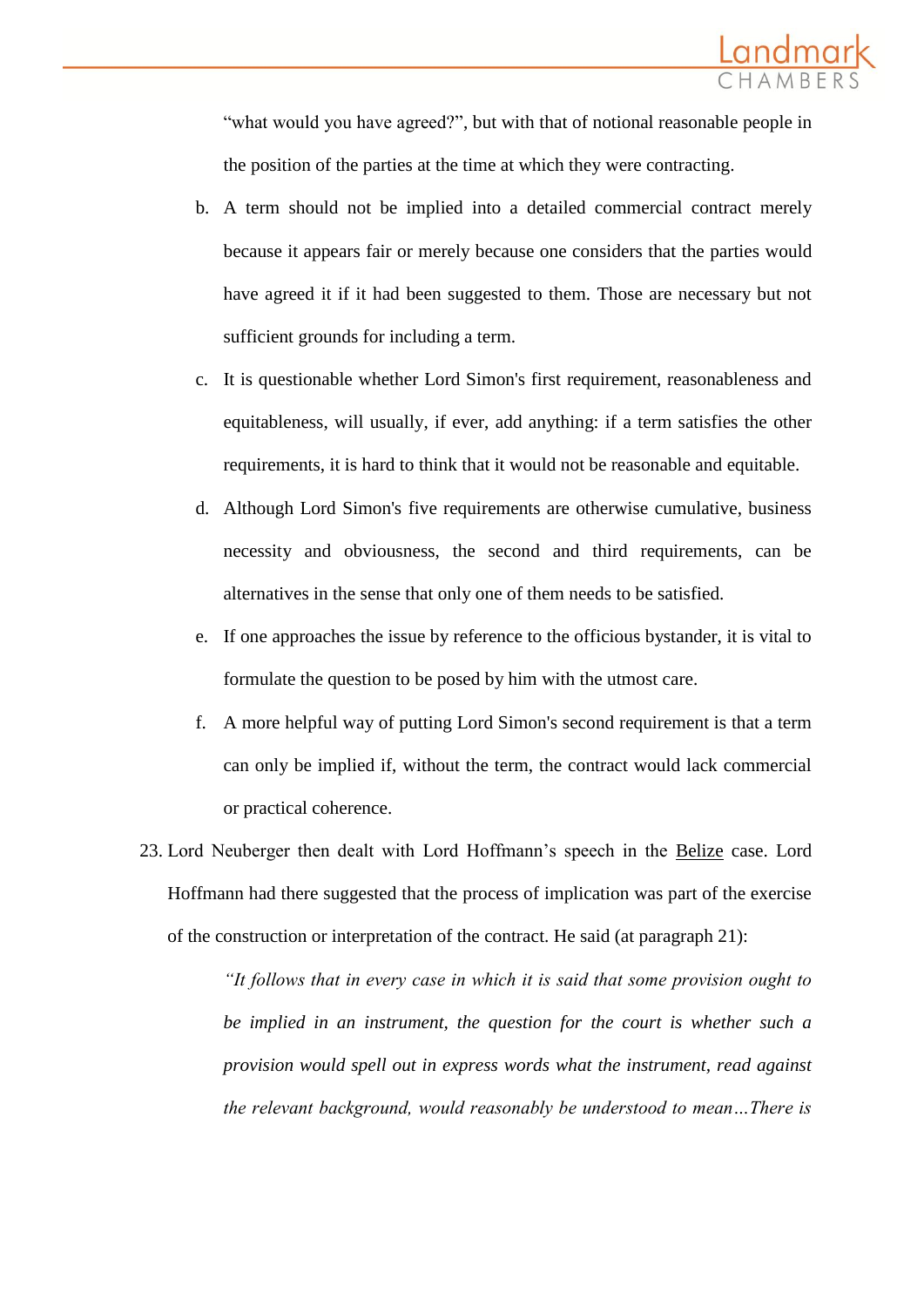

"what would you have agreed?", but with that of notional reasonable people in the position of the parties at the time at which they were contracting.

- b. A term should not be implied into a detailed commercial contract merely because it appears fair or merely because one considers that the parties would have agreed it if it had been suggested to them. Those are necessary but not sufficient grounds for including a term.
- c. It is questionable whether Lord Simon's first requirement, reasonableness and equitableness, will usually, if ever, add anything: if a term satisfies the other requirements, it is hard to think that it would not be reasonable and equitable.
- d. Although Lord Simon's five requirements are otherwise cumulative, business necessity and obviousness, the second and third requirements, can be alternatives in the sense that only one of them needs to be satisfied.
- e. If one approaches the issue by reference to the officious bystander, it is vital to formulate the question to be posed by him with the utmost care.
- f. A more helpful way of putting Lord Simon's second requirement is that a term can only be implied if, without the term, the contract would lack commercial or practical coherence.
- 23. Lord Neuberger then dealt with Lord Hoffmann's speech in the Belize case. Lord Hoffmann had there suggested that the process of implication was part of the exercise of the construction or interpretation of the contract. He said (at paragraph 21):

*"It follows that in every case in which it is said that some provision ought to be implied in an instrument, the question for the court is whether such a provision would spell out in express words what the instrument, read against the relevant background, would reasonably be understood to mean…There is*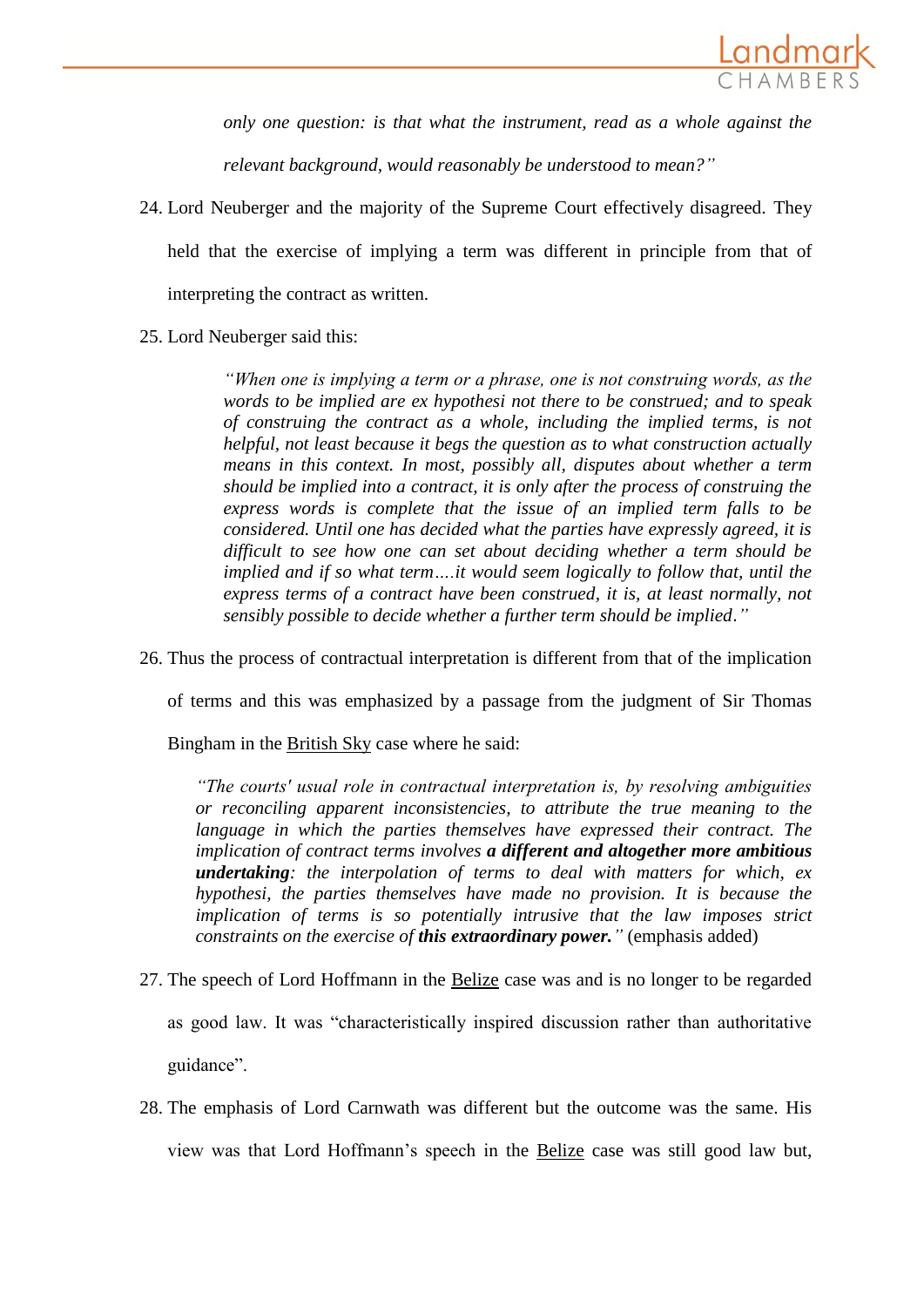

*only one question: is that what the instrument, read as a whole against the* 

*relevant background, would reasonably be understood to mean?"*

24. Lord Neuberger and the majority of the Supreme Court effectively disagreed. They held that the exercise of implying a term was different in principle from that of

interpreting the contract as written.

25. Lord Neuberger said this:

*"When one is implying a term or a phrase, one is not construing words, as the words to be implied are ex hypothesi not there to be construed; and to speak of construing the contract as a whole, including the implied terms, is not helpful, not least because it begs the question as to what construction actually means in this context. In most, possibly all, disputes about whether a term should be implied into a contract, it is only after the process of construing the express words is complete that the issue of an implied term falls to be considered. Until one has decided what the parties have expressly agreed, it is difficult to see how one can set about deciding whether a term should be implied and if so what term....it would seem logically to follow that, until the express terms of a contract have been construed, it is, at least normally, not sensibly possible to decide whether a further term should be implied*.*"*

26. Thus the process of contractual interpretation is different from that of the implication

of terms and this was emphasized by a passage from the judgment of Sir Thomas

Bingham in the British Sky case where he said:

*"The courts' usual role in contractual interpretation is, by resolving ambiguities or reconciling apparent inconsistencies, to attribute the true meaning to the language in which the parties themselves have expressed their contract. The implication of contract terms involves a different and altogether more ambitious undertaking: the interpolation of terms to deal with matters for which, ex hypothesi, the parties themselves have made no provision. It is because the implication of terms is so potentially intrusive that the law imposes strict constraints on the exercise of this extraordinary power."* (emphasis added)

- 27. The speech of Lord Hoffmann in the Belize case was and is no longer to be regarded as good law. It was "characteristically inspired discussion rather than authoritative guidance".
- 28. The emphasis of Lord Carnwath was different but the outcome was the same. His view was that Lord Hoffmann's speech in the Belize case was still good law but,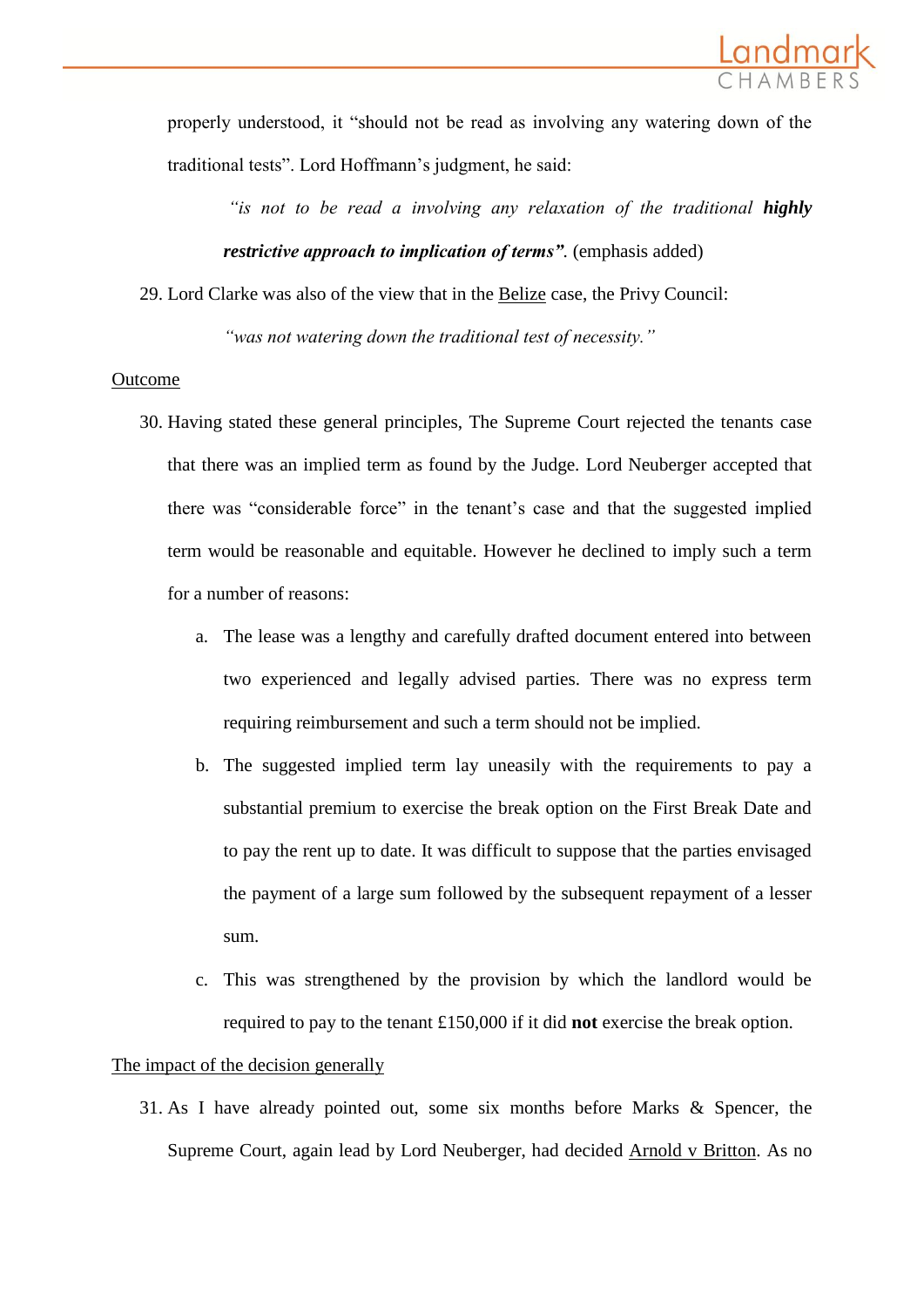

properly understood, it "should not be read as involving any watering down of the traditional tests". Lord Hoffmann's judgment, he said:

"*is not to be read a involving any relaxation of the traditional <i>highly restrictive approach to implication of terms".* (emphasis added)

29. Lord Clarke was also of the view that in the Belize case, the Privy Council:

*"was not watering down the traditional test of necessity."*

#### Outcome

- 30. Having stated these general principles, The Supreme Court rejected the tenants case that there was an implied term as found by the Judge. Lord Neuberger accepted that there was "considerable force" in the tenant's case and that the suggested implied term would be reasonable and equitable. However he declined to imply such a term for a number of reasons:
	- a. The lease was a lengthy and carefully drafted document entered into between two experienced and legally advised parties. There was no express term requiring reimbursement and such a term should not be implied.
	- b. The suggested implied term lay uneasily with the requirements to pay a substantial premium to exercise the break option on the First Break Date and to pay the rent up to date. It was difficult to suppose that the parties envisaged the payment of a large sum followed by the subsequent repayment of a lesser sum.
	- c. This was strengthened by the provision by which the landlord would be required to pay to the tenant £150,000 if it did **not** exercise the break option.

#### The impact of the decision generally

31. As I have already pointed out, some six months before Marks & Spencer, the Supreme Court, again lead by Lord Neuberger, had decided Arnold v Britton. As no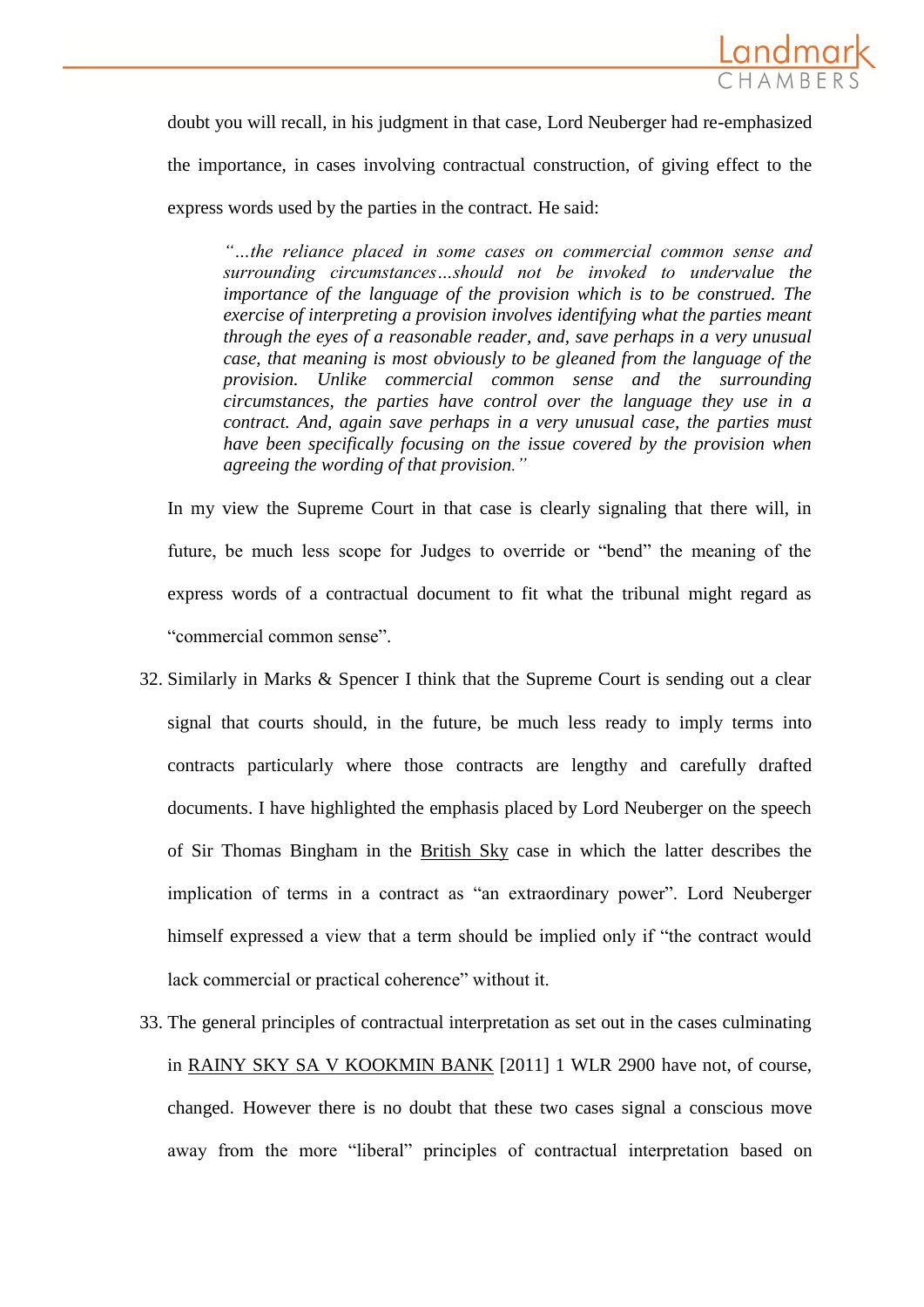

doubt you will recall, in his judgment in that case, Lord Neuberger had re-emphasized the importance, in cases involving contractual construction, of giving effect to the express words used by the parties in the contract. He said:

*"…the reliance placed in some cases on commercial common sense and surrounding circumstances…should not be invoked to undervalue the importance of the language of the provision which is to be construed. The exercise of interpreting a provision involves identifying what the parties meant through the eyes of a reasonable reader, and, save perhaps in a very unusual case, that meaning is most obviously to be gleaned from the language of the provision. Unlike commercial common sense and the surrounding circumstances, the parties have control over the language they use in a contract. And, again save perhaps in a very unusual case, the parties must have been specifically focusing on the issue covered by the provision when agreeing the wording of that provision."*

In my view the Supreme Court in that case is clearly signaling that there will, in future, be much less scope for Judges to override or "bend" the meaning of the express words of a contractual document to fit what the tribunal might regard as "commercial common sense".

- 32. Similarly in Marks & Spencer I think that the Supreme Court is sending out a clear signal that courts should, in the future, be much less ready to imply terms into contracts particularly where those contracts are lengthy and carefully drafted documents. I have highlighted the emphasis placed by Lord Neuberger on the speech of Sir Thomas Bingham in the British Sky case in which the latter describes the implication of terms in a contract as "an extraordinary power". Lord Neuberger himself expressed a view that a term should be implied only if "the contract would lack commercial or practical coherence" without it.
- 33. The general principles of contractual interpretation as set out in the cases culminating in [RAINY SKY SA V KOOKMIN BANK](http://login.westlaw.co.uk/maf/wluk/app/document?src=doc&linktype=ref&context=14&crumb-action=replace&docguid=IB0E26860056111E1982AB05400E684EA) [2011] 1 WLR 2900 have not, of course, changed. However there is no doubt that these two cases signal a conscious move away from the more "liberal" principles of contractual interpretation based on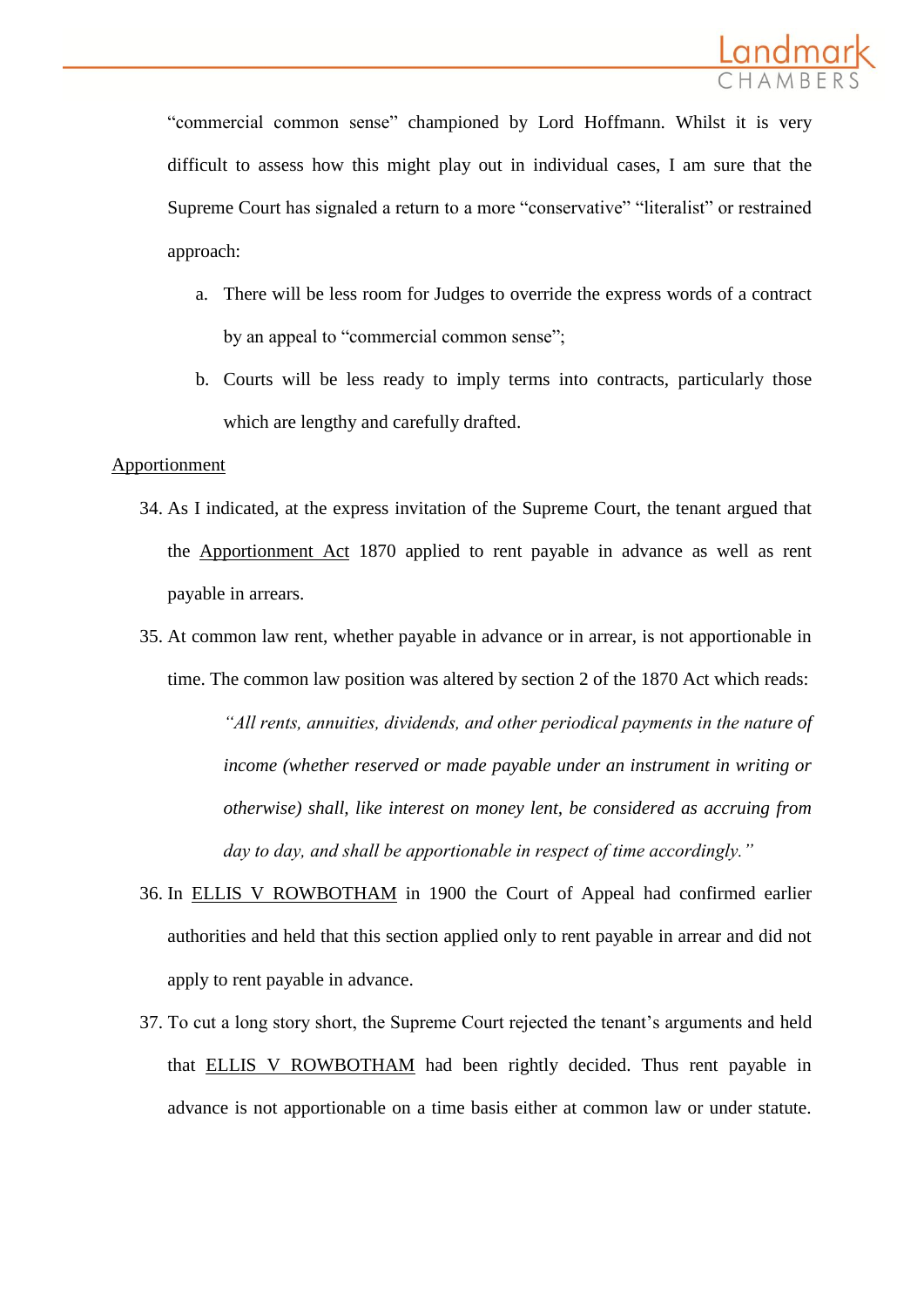

"commercial common sense" championed by Lord Hoffmann. Whilst it is very difficult to assess how this might play out in individual cases, I am sure that the Supreme Court has signaled a return to a more "conservative" "literalist" or restrained approach:

- a. There will be less room for Judges to override the express words of a contract by an appeal to "commercial common sense";
- b. Courts will be less ready to imply terms into contracts, particularly those which are lengthy and carefully drafted.

#### Apportionment

- 34. As I indicated, at the express invitation of the Supreme Court, the tenant argued that the Apportionment Act 1870 applied to rent payable in advance as well as rent payable in arrears.
- 35. At common law rent, whether payable in advance or in arrear, is not apportionable in time. The common law position was altered by section 2 of the 1870 Act which reads:

*"All rents, annuities, dividends, and other periodical payments in the nature of income (whether reserved or made payable under an instrument in writing or otherwise) shall, like interest on money lent, be considered as accruing from day to day, and shall be apportionable in respect of time accordingly."*

- 36. In ELLIS V ROWBOTHAM in 1900 the Court of Appeal had confirmed earlier authorities and held that this section applied only to rent payable in arrear and did not apply to rent payable in advance.
- 37. To cut a long story short, the Supreme Court rejected the tenant's arguments and held that ELLIS V ROWBOTHAM had been rightly decided. Thus rent payable in advance is not apportionable on a time basis either at common law or under statute.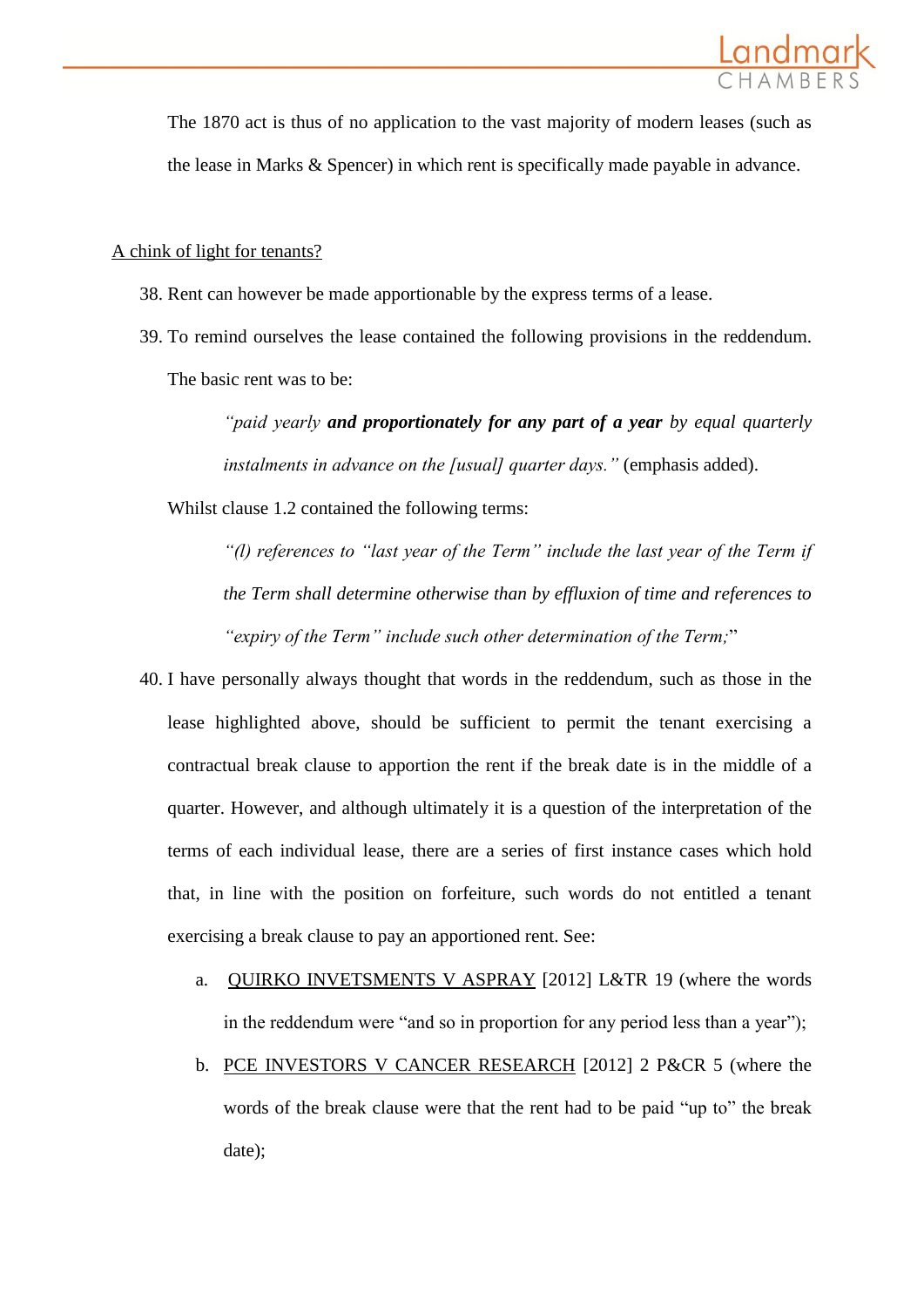

The 1870 act is thus of no application to the vast majority of modern leases (such as the lease in Marks & Spencer) in which rent is specifically made payable in advance.

#### A chink of light for tenants?

- 38. Rent can however be made apportionable by the express terms of a lease.
- 39. To remind ourselves the lease contained the following provisions in the reddendum. The basic rent was to be:

*"paid yearly and proportionately for any part of a year by equal quarterly instalments in advance on the [usual] quarter days."* (emphasis added).

Whilst clause 1.2 contained the following terms:

*"(l) references to "last year of the Term" include the last year of the Term if the Term shall determine otherwise than by effluxion of time and references to "expiry of the Term" include such other determination of the Term;*"

- 40. I have personally always thought that words in the reddendum, such as those in the lease highlighted above, should be sufficient to permit the tenant exercising a contractual break clause to apportion the rent if the break date is in the middle of a quarter. However, and although ultimately it is a question of the interpretation of the terms of each individual lease, there are a series of first instance cases which hold that, in line with the position on forfeiture, such words do not entitled a tenant exercising a break clause to pay an apportioned rent. See:
	- a. QUIRKO INVETSMENTS V ASPRAY [2012] L&TR 19 (where the words in the reddendum were "and so in proportion for any period less than a year");
	- b. PCE INVESTORS V CANCER RESEARCH [2012] 2 P&CR 5 (where the words of the break clause were that the rent had to be paid "up to" the break date);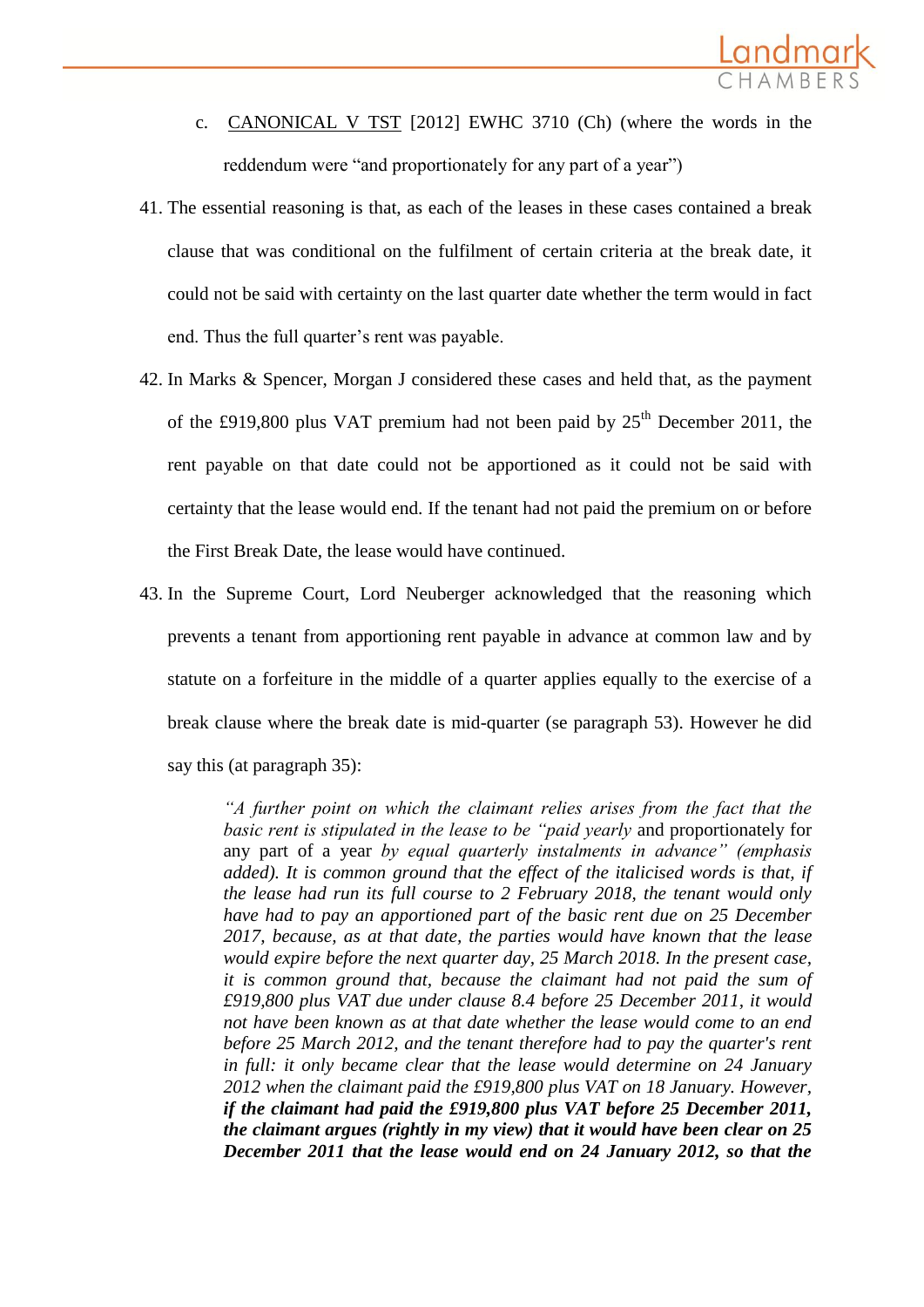

- c. CANONICAL V TST [2012] EWHC 3710 (Ch) (where the words in the reddendum were "and proportionately for any part of a year")
- 41. The essential reasoning is that, as each of the leases in these cases contained a break clause that was conditional on the fulfilment of certain criteria at the break date, it could not be said with certainty on the last quarter date whether the term would in fact end. Thus the full quarter's rent was payable.
- 42. In Marks & Spencer, Morgan J considered these cases and held that, as the payment of the £919,800 plus VAT premium had not been paid by  $25<sup>th</sup>$  December 2011, the rent payable on that date could not be apportioned as it could not be said with certainty that the lease would end. If the tenant had not paid the premium on or before the First Break Date, the lease would have continued.
- 43. In the Supreme Court, Lord Neuberger acknowledged that the reasoning which prevents a tenant from apportioning rent payable in advance at common law and by statute on a forfeiture in the middle of a quarter applies equally to the exercise of a break clause where the break date is mid-quarter (se paragraph 53). However he did say this (at paragraph 35):

*"A further point on which the claimant relies arises from the fact that the basic rent is stipulated in the lease to be "paid yearly* and proportionately for any part of a year *by equal quarterly instalments in advance" (emphasis added). It is common ground that the effect of the italicised words is that, if the lease had run its full course to 2 February 2018, the tenant would only have had to pay an apportioned part of the basic rent due on 25 December 2017, because, as at that date, the parties would have known that the lease would expire before the next quarter day, 25 March 2018. In the present case, it is common ground that, because the claimant had not paid the sum of £919,800 plus VAT due under clause 8.4 before 25 December 2011, it would not have been known as at that date whether the lease would come to an end before 25 March 2012, and the tenant therefore had to pay the quarter's rent in full: it only became clear that the lease would determine on 24 January 2012 when the claimant paid the £919,800 plus VAT on 18 January. However, if the claimant had paid the £919,800 plus VAT before 25 December 2011, the claimant argues (rightly in my view) that it would have been clear on 25 December 2011 that the lease would end on 24 January 2012, so that the*